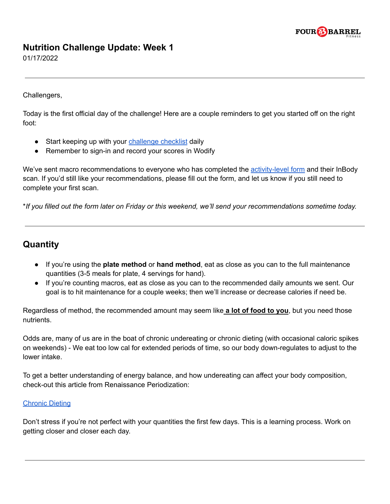

## **Nutrition Challenge Update: Week 1**

01/17/2022

Challengers,

Today is the first official day of the challenge! Here are a couple reminders to get you started off on the right foot:

- Start keeping up with your [challenge](https://4bfit.com/wp-content/uploads/2022/01/Challenge-Tracking-Sheet-2022.pdf) checklist daily
- Remember to sign-in and record your scores in Wodify

We've sent macro recommendations to everyone who has completed the [activity-level](https://forms.gle/GCCEtLyzBPoWfXmDA) form and their InBody scan. If you'd still like your recommendations, please fill out the form, and let us know if you still need to complete your first scan.

\*If you filled out the form later on Friday or this weekend, we'll send your recommendations sometime today.

## **Quantity**

- If you're using the **plate method** or **hand method**, eat as close as you can to the full maintenance quantities (3-5 meals for plate, 4 servings for hand).
- If you're counting macros, eat as close as you can to the recommended daily amounts we sent. Our goal is to hit maintenance for a couple weeks; then we'll increase or decrease calories if need be.

Regardless of method, the recommended amount may seem like **a lot of food to you**, but you need those nutrients.

Odds are, many of us are in the boat of chronic undereating or chronic dieting (with occasional caloric spikes on weekends) - We eat too low cal for extended periods of time, so our body down-regulates to adjust to the lower intake.

To get a better understanding of energy balance, and how undereating can affect your body composition, check-out this article from Renaissance Periodization:

## [Chronic](https://renaissanceperiodization.com/chronic-dieting/) Dieting

Don't stress if you're not perfect with your quantities the first few days. This is a learning process. Work on getting closer and closer each day.